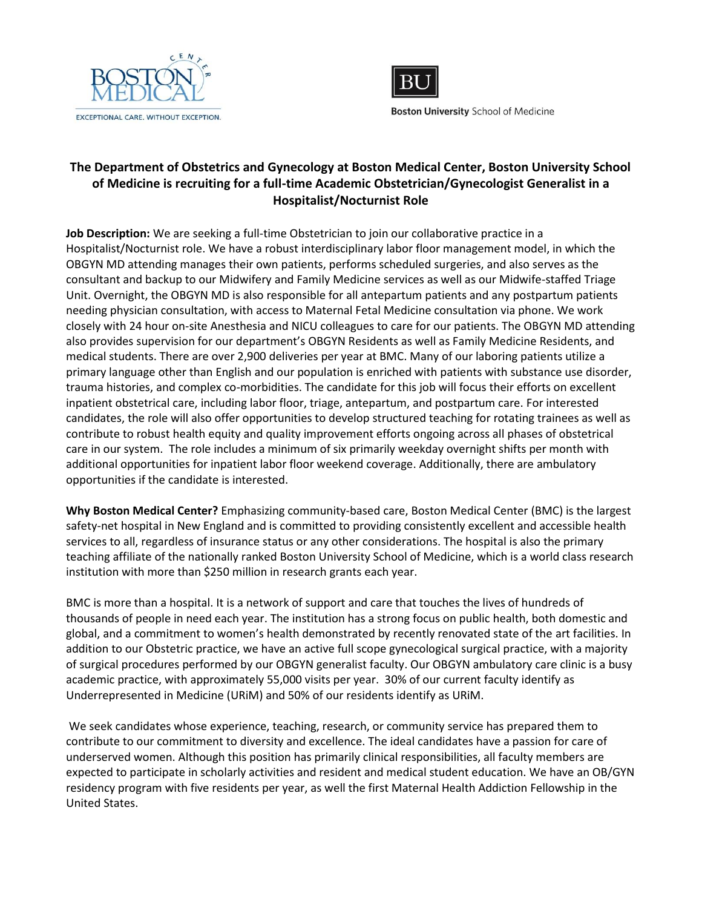



**Boston University School of Medicine** 

## **The Department of Obstetrics and Gynecology at Boston Medical Center, Boston University School of Medicine is recruiting for a full-time Academic Obstetrician/Gynecologist Generalist in a Hospitalist/Nocturnist Role**

**Job Description:** We are seeking a full-time Obstetrician to join our collaborative practice in a Hospitalist/Nocturnist role. We have a robust interdisciplinary labor floor management model, in which the OBGYN MD attending manages their own patients, performs scheduled surgeries, and also serves as the consultant and backup to our Midwifery and Family Medicine services as well as our Midwife-staffed Triage Unit. Overnight, the OBGYN MD is also responsible for all antepartum patients and any postpartum patients needing physician consultation, with access to Maternal Fetal Medicine consultation via phone. We work closely with 24 hour on-site Anesthesia and NICU colleagues to care for our patients. The OBGYN MD attending also provides supervision for our department's OBGYN Residents as well as Family Medicine Residents, and medical students. There are over 2,900 deliveries per year at BMC. Many of our laboring patients utilize a primary language other than English and our population is enriched with patients with substance use disorder, trauma histories, and complex co-morbidities. The candidate for this job will focus their efforts on excellent inpatient obstetrical care, including labor floor, triage, antepartum, and postpartum care. For interested candidates, the role will also offer opportunities to develop structured teaching for rotating trainees as well as contribute to robust health equity and quality improvement efforts ongoing across all phases of obstetrical care in our system. The role includes a minimum of six primarily weekday overnight shifts per month with additional opportunities for inpatient labor floor weekend coverage. Additionally, there are ambulatory opportunities if the candidate is interested.

**Why Boston Medical Center?** Emphasizing community-based care, Boston Medical Center (BMC) is the largest safety-net hospital in New England and is committed to providing consistently excellent and accessible health services to all, regardless of insurance status or any other considerations. The hospital is also the primary teaching affiliate of the nationally ranked Boston University School of Medicine, which is a world class research institution with more than \$250 million in research grants each year.

BMC is more than a hospital. It is a network of support and care that touches the lives of hundreds of thousands of people in need each year. The institution has a strong focus on public health, both domestic and global, and a commitment to women's health demonstrated by recently renovated state of the art facilities. In addition to our Obstetric practice, we have an active full scope gynecological surgical practice, with a majority of surgical procedures performed by our OBGYN generalist faculty. Our OBGYN ambulatory care clinic is a busy academic practice, with approximately 55,000 visits per year. 30% of our current faculty identify as Underrepresented in Medicine (URiM) and 50% of our residents identify as URiM.

We seek candidates whose experience, teaching, research, or community service has prepared them to contribute to our commitment to diversity and excellence. The ideal candidates have a passion for care of underserved women. Although this position has primarily clinical responsibilities, all faculty members are expected to participate in scholarly activities and resident and medical student education. We have an OB/GYN residency program with five residents per year, as well the first Maternal Health Addiction Fellowship in the United States.